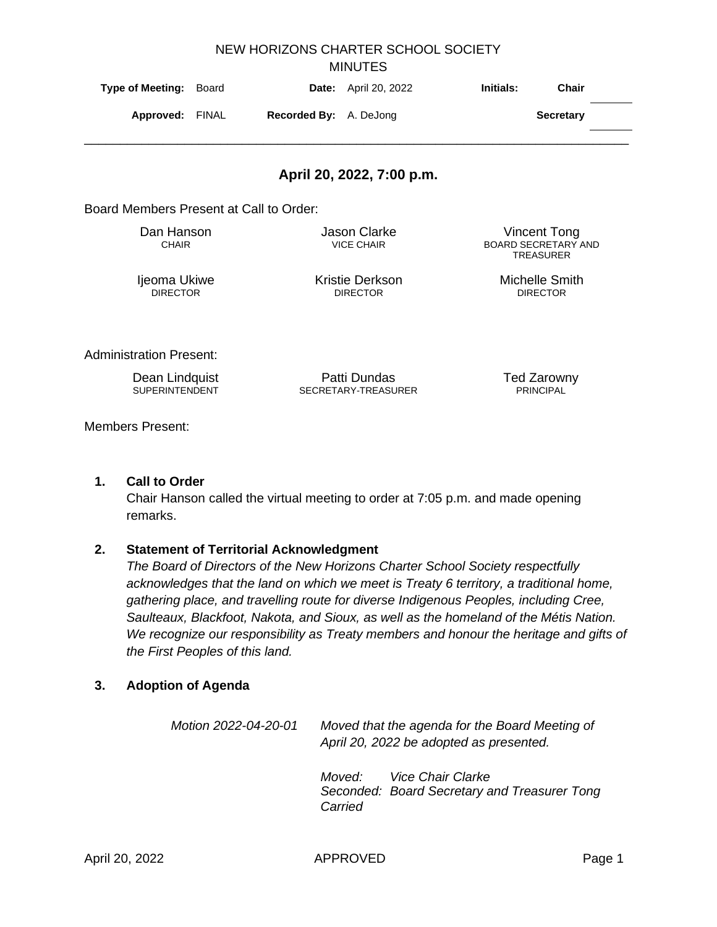|                                         |       |                     | <b>MINUTES</b>                           |           |                                                                       |
|-----------------------------------------|-------|---------------------|------------------------------------------|-----------|-----------------------------------------------------------------------|
| <b>Type of Meeting:</b>                 | Board |                     | <b>Date:</b> April 20, 2022              | Initials: | Chair                                                                 |
| Approved: FINAL                         |       | <b>Recorded By:</b> | A. DeJong                                |           | <b>Secretary</b>                                                      |
|                                         |       |                     | April 20, 2022, 7:00 p.m.                |           |                                                                       |
| Board Members Present at Call to Order: |       |                     |                                          |           |                                                                       |
| Dan Hanson<br><b>CHAIR</b>              |       |                     | <b>Jason Clarke</b><br><b>VICE CHAIR</b> |           | <b>Vincent Tong</b><br><b>BOARD SECRETARY AND</b><br><b>TREASURER</b> |
| Ijeoma Ukiwe<br><b>DIRECTOR</b>         |       |                     | Kristie Derkson<br><b>DIRECTOR</b>       |           | Michelle Smith<br><b>DIRECTOR</b>                                     |
| <b>Administration Present:</b>          |       |                     |                                          |           |                                                                       |
| .                                       |       |                     |                                          |           |                                                                       |

Dean Lindquist SUPERINTENDENT

Patti Dundas r atti Duriuas<br>SECRETARY-TREASURER Ted Zarowny PRINCIPAL

Members Present:

### **1. Call to Order**

Chair Hanson called the virtual meeting to order at 7:05 p.m. and made opening remarks.

# **2. Statement of Territorial Acknowledgment**

*The Board of Directors of the New Horizons Charter School Society respectfully acknowledges that the land on which we meet is Treaty 6 territory, a traditional home, gathering place, and travelling route for diverse Indigenous Peoples, including Cree, Saulteaux, Blackfoot, Nakota, and Sioux, as well as the homeland of the Métis Nation. We recognize our responsibility as Treaty members and honour the heritage and gifts of the First Peoples of this land.*

# **3. Adoption of Agenda**

| Motion 2022-04-20-01 | Moved that the agenda for the Board Meeting of<br>April 20, 2022 be adopted as presented. |  |  |  |
|----------------------|-------------------------------------------------------------------------------------------|--|--|--|
|                      | Moved: Vice Chair Clarke<br>Seconded: Board Secretary and Treasurer Tong<br>Carried       |  |  |  |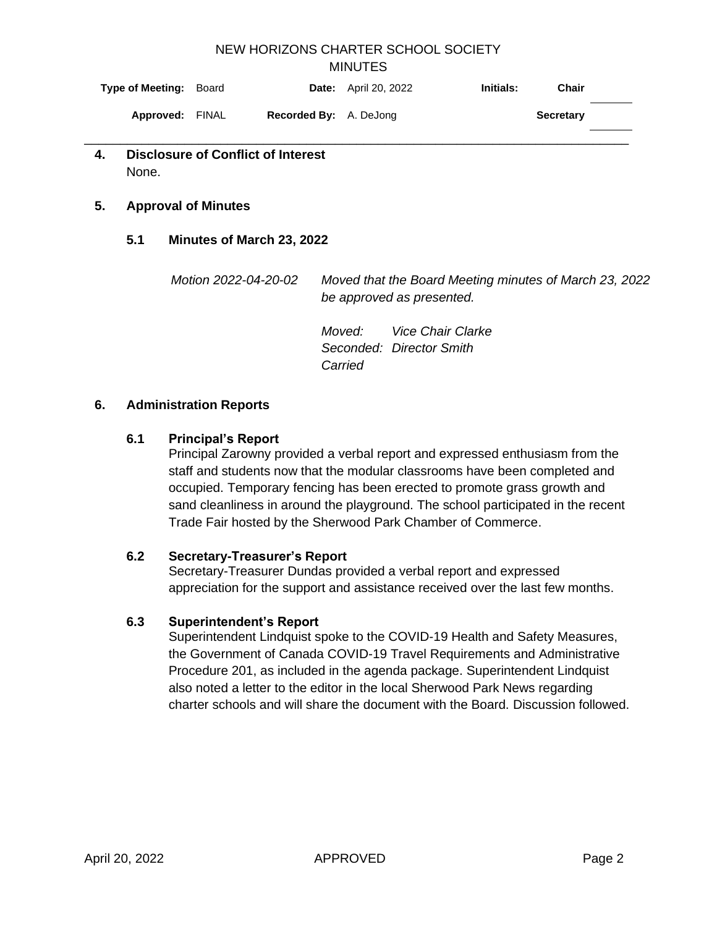| <b>Type of Meeting: Board</b> |                               | <b>Date:</b> April 20, 2022 | Chair<br>Initials: |  |
|-------------------------------|-------------------------------|-----------------------------|--------------------|--|
| Approved: FINAL               | <b>Recorded By:</b> A. DeJong |                             | Secretary          |  |
|                               |                               |                             |                    |  |

# **4. Disclosure of Conflict of Interest** None.

# **5. Approval of Minutes**

# **5.1 Minutes of March 23, 2022**

| Motion 2022-04-20-02 | Moved that the Board Meeting minutes of March 23, 2022 |
|----------------------|--------------------------------------------------------|
|                      | be approved as presented.                              |

*Moved: Vice Chair Clarke Seconded: Director Smith Carried*

### **6. Administration Reports**

# **6.1 Principal's Report**

Principal Zarowny provided a verbal report and expressed enthusiasm from the staff and students now that the modular classrooms have been completed and occupied. Temporary fencing has been erected to promote grass growth and sand cleanliness in around the playground. The school participated in the recent Trade Fair hosted by the Sherwood Park Chamber of Commerce.

### **6.2 Secretary-Treasurer's Report**

Secretary-Treasurer Dundas provided a verbal report and expressed appreciation for the support and assistance received over the last few months.

### **6.3 Superintendent's Report**

Superintendent Lindquist spoke to the COVID-19 Health and Safety Measures, the Government of Canada COVID-19 Travel Requirements and Administrative Procedure 201, as included in the agenda package. Superintendent Lindquist also noted a letter to the editor in the local Sherwood Park News regarding charter schools and will share the document with the Board. Discussion followed.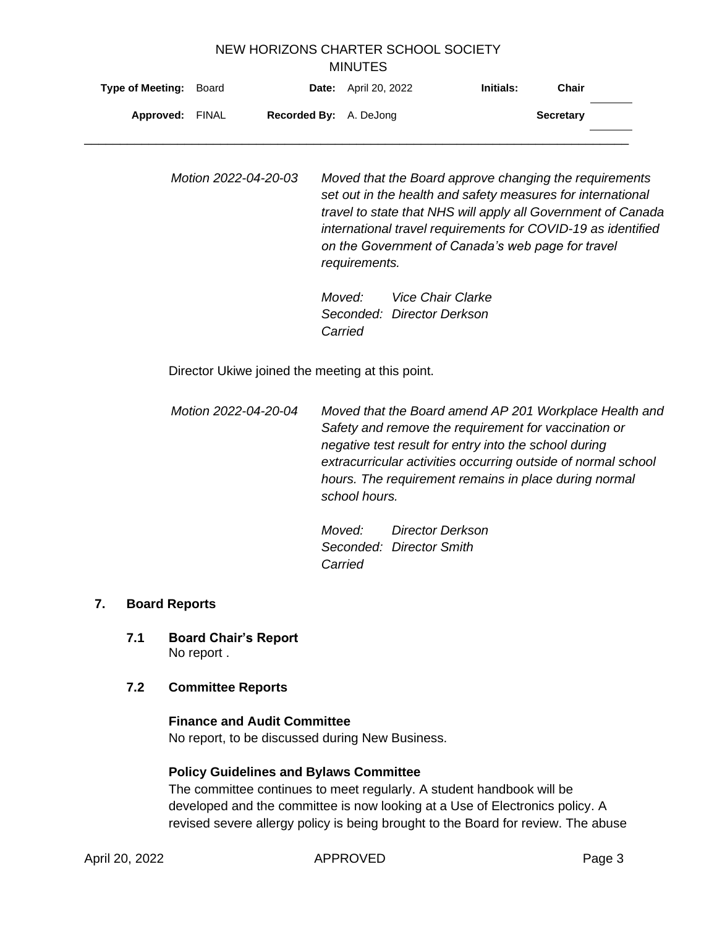| <b>Type of Meeting: Board</b> |                               | <b>Date:</b> April 20, 2022 | Initials: | Chair            |
|-------------------------------|-------------------------------|-----------------------------|-----------|------------------|
| <b>Approved: FINAL</b>        | <b>Recorded By:</b> A. DeJong |                             |           | <b>Secretary</b> |

*Motion 2022-04-20-03 Moved that the Board approve changing the requirements set out in the health and safety measures for international travel to state that NHS will apply all Government of Canada international travel requirements for COVID-19 as identified on the Government of Canada's web page for travel requirements.*

> *Moved: Vice Chair Clarke Seconded: Director Derkson Carried*

Director Ukiwe joined the meeting at this point.

*Motion 2022-04-20-04 Moved that the Board amend AP 201 Workplace Health and Safety and remove the requirement for vaccination or negative test result for entry into the school during extracurricular activities occurring outside of normal school hours. The requirement remains in place during normal school hours.*

> *Moved: Director Derkson Seconded: Director Smith Carried*

### **7. Board Reports**

**7.1 Board Chair's Report** No report .

### **7.2 Committee Reports**

# **Finance and Audit Committee**

No report, to be discussed during New Business.

### **Policy Guidelines and Bylaws Committee**

The committee continues to meet regularly. A student handbook will be developed and the committee is now looking at a Use of Electronics policy. A revised severe allergy policy is being brought to the Board for review. The abuse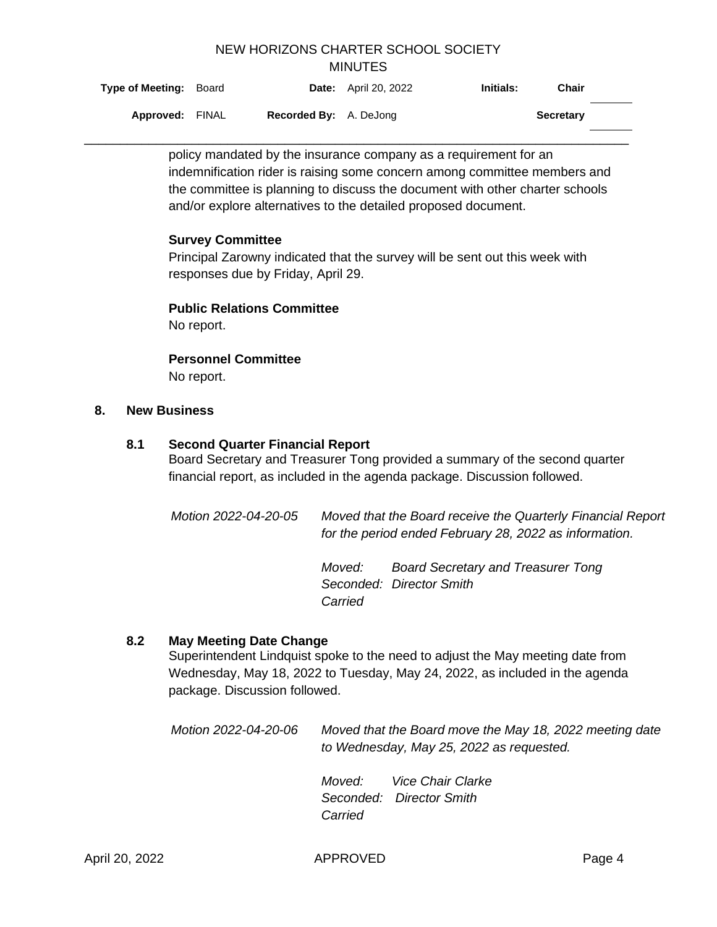| <b>Type of Meeting: Board</b> |                               | <b>Date:</b> April 20, 2022 | Initials:<br>Chair |  |
|-------------------------------|-------------------------------|-----------------------------|--------------------|--|
| <b>Approved: FINAL</b>        | <b>Recorded By:</b> A. DeJong |                             | <b>Secretary</b>   |  |
|                               |                               |                             |                    |  |

policy mandated by the insurance company as a requirement for an indemnification rider is raising some concern among committee members and the committee is planning to discuss the document with other charter schools and/or explore alternatives to the detailed proposed document.

### **Survey Committee**

Principal Zarowny indicated that the survey will be sent out this week with responses due by Friday, April 29.

### **Public Relations Committee**

No report.

# **Personnel Committee**

No report.

### **8. New Business**

# **8.1 Second Quarter Financial Report**

Board Secretary and Treasurer Tong provided a summary of the second quarter financial report, as included in the agenda package. Discussion followed.

*Motion 2022-04-20-05 Moved that the Board receive the Quarterly Financial Report for the period ended February 28, 2022 as information.* 

> *Moved: Board Secretary and Treasurer Tong Seconded: Director Smith Carried*

### **8.2 May Meeting Date Change**

Superintendent Lindquist spoke to the need to adjust the May meeting date from Wednesday, May 18, 2022 to Tuesday, May 24, 2022, as included in the agenda package. Discussion followed.

*Motion 2022-04-20-06 Moved that the Board move the May 18, 2022 meeting date to Wednesday, May 25, 2022 as requested.* 

> *Moved: Vice Chair Clarke Seconded: Director Smith Carried*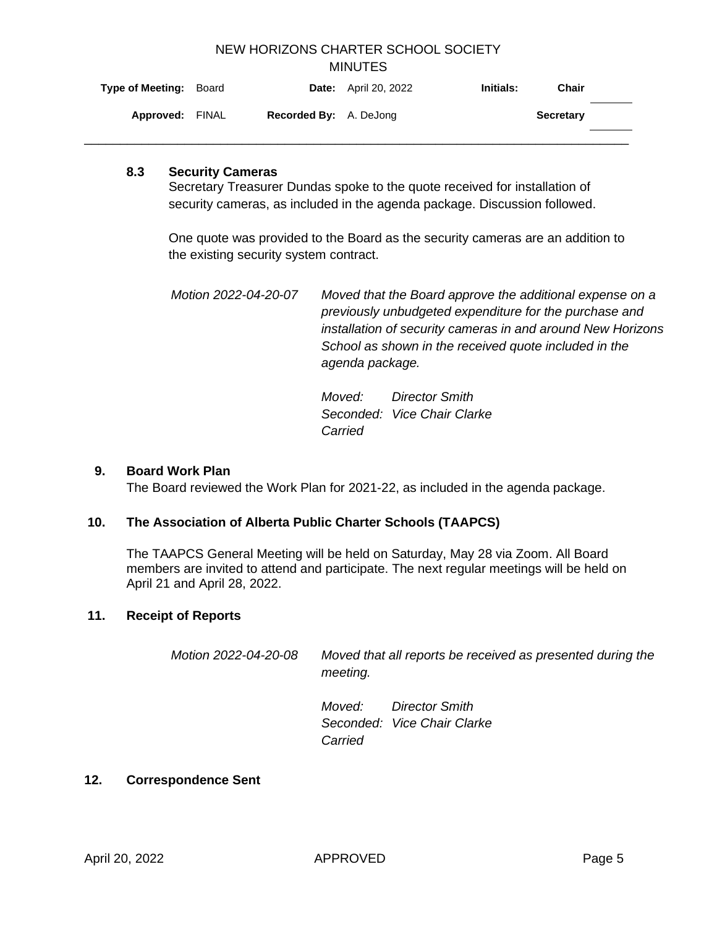| <b>Type of Meeting: Board</b> |                               | <b>Date:</b> April 20, 2022 | Initials: | Chair |
|-------------------------------|-------------------------------|-----------------------------|-----------|-------|
| Approved: FINAL               | <b>Recorded By:</b> A. DeJong |                             | Secretary |       |

### **8.3 Security Cameras**

Secretary Treasurer Dundas spoke to the quote received for installation of security cameras, as included in the agenda package. Discussion followed.

One quote was provided to the Board as the security cameras are an addition to the existing security system contract.

*Motion 2022-04-20-07 Moved that the Board approve the additional expense on a previously unbudgeted expenditure for the purchase and installation of security cameras in and around New Horizons School as shown in the received quote included in the agenda package.* 

> *Moved: Director Smith Seconded: Vice Chair Clarke Carried*

### **9. Board Work Plan**

The Board reviewed the Work Plan for 2021-22, as included in the agenda package.

### **10. The Association of Alberta Public Charter Schools (TAAPCS)**

The TAAPCS General Meeting will be held on Saturday, May 28 via Zoom. All Board members are invited to attend and participate. The next regular meetings will be held on April 21 and April 28, 2022.

### **11. Receipt of Reports**

*Motion 2022-04-20-08 Moved that all reports be received as presented during the meeting.* 

> *Moved: Director Smith Seconded: Vice Chair Clarke Carried*

# **12. Correspondence Sent**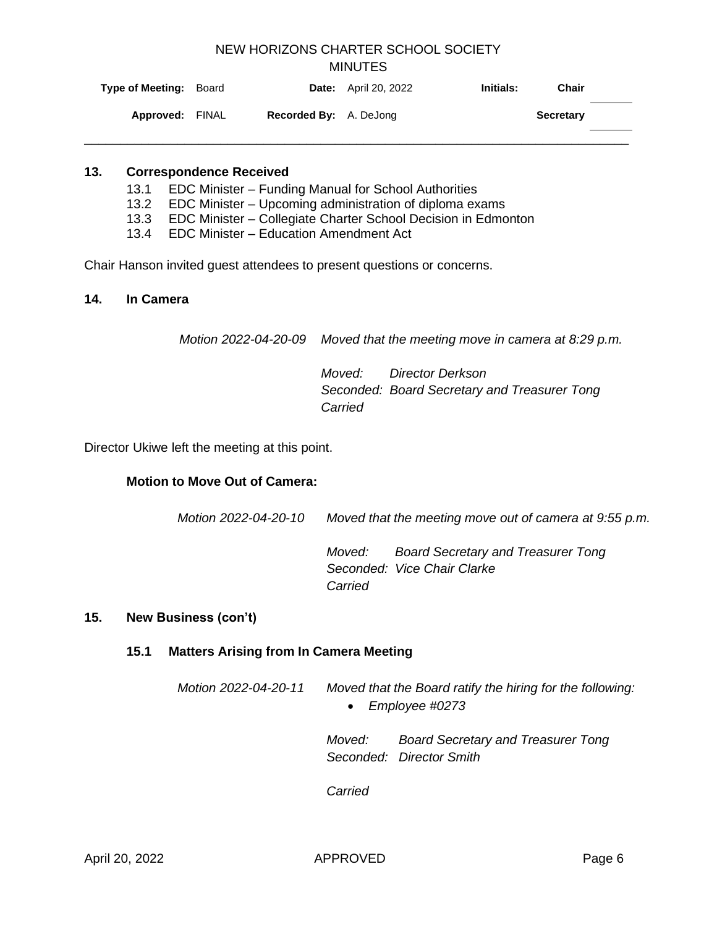| <b>Type of Meeting: Board</b> |                               | <b>Date:</b> April 20, 2022 | Chair<br>Initials: |  |
|-------------------------------|-------------------------------|-----------------------------|--------------------|--|
| Approved: FINAL               | <b>Recorded By:</b> A. DeJong |                             | Secretary          |  |
|                               |                               |                             |                    |  |

### **13. Correspondence Received**

- 13.1 EDC Minister Funding Manual for School Authorities
- 13.2 EDC Minister Upcoming administration of diploma exams
- 13.3 EDC Minister Collegiate Charter School Decision in Edmonton
- 13.4 EDC Minister Education Amendment Act

Chair Hanson invited guest attendees to present questions or concerns.

### **14. In Camera**

*Motion 2022-04-20-09 Moved that the meeting move in camera at 8:29 p.m.* 

*Moved: Director Derkson Seconded: Board Secretary and Treasurer Tong Carried*

Director Ukiwe left the meeting at this point.

### **Motion to Move Out of Camera:**

*Motion 2022-04-20-10 Moved that the meeting move out of camera at 9:55 p.m.* 

*Moved: Board Secretary and Treasurer Tong Seconded: Vice Chair Clarke Carried*

### **15. New Business (con't)**

### **15.1 Matters Arising from In Camera Meeting**

| Motion 2022-04-20-11 | Moved that the Board ratify the hiring for the following: |
|----------------------|-----------------------------------------------------------|
|                      | • Employee #0273                                          |

*Moved: Board Secretary and Treasurer Tong Seconded: Director Smith*

*Carried*